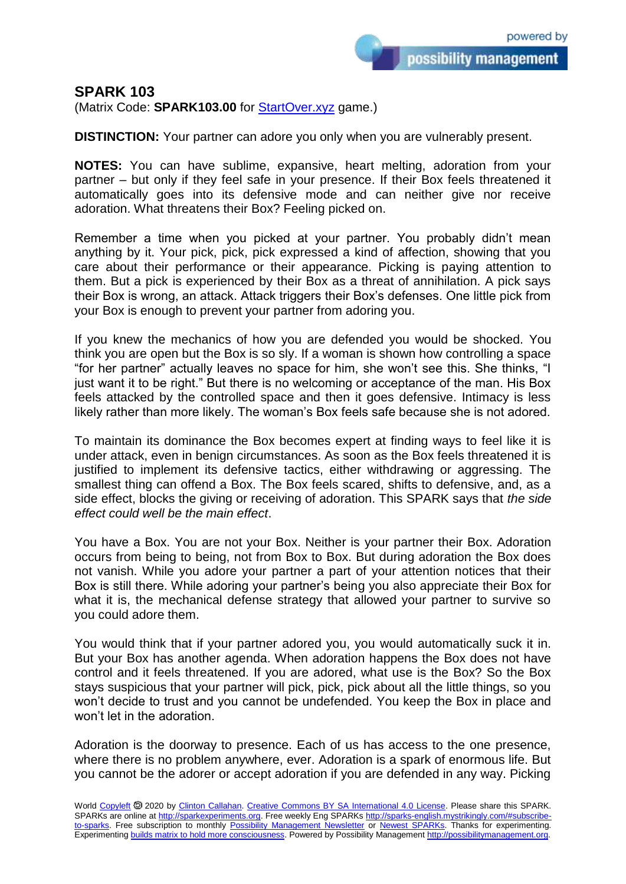possibility management

## **SPARK 103**

(Matrix Code: **SPARK103.00** for **StartOver.xyz** game.)

**DISTINCTION:** Your partner can adore you only when you are vulnerably present.

**NOTES:** You can have sublime, expansive, heart melting, adoration from your partner – but only if they feel safe in your presence. If their Box feels threatened it automatically goes into its defensive mode and can neither give nor receive adoration. What threatens their Box? Feeling picked on.

Remember a time when you picked at your partner. You probably didn't mean anything by it. Your pick, pick, pick expressed a kind of affection, showing that you care about their performance or their appearance. Picking is paying attention to them. But a pick is experienced by their Box as a threat of annihilation. A pick says their Box is wrong, an attack. Attack triggers their Box's defenses. One little pick from your Box is enough to prevent your partner from adoring you.

If you knew the mechanics of how you are defended you would be shocked. You think you are open but the Box is so sly. If a woman is shown how controlling a space "for her partner" actually leaves no space for him, she won't see this. She thinks, "I just want it to be right." But there is no welcoming or acceptance of the man. His Box feels attacked by the controlled space and then it goes defensive. Intimacy is less likely rather than more likely. The woman's Box feels safe because she is not adored.

To maintain its dominance the Box becomes expert at finding ways to feel like it is under attack, even in benign circumstances. As soon as the Box feels threatened it is justified to implement its defensive tactics, either withdrawing or aggressing. The smallest thing can offend a Box. The Box feels scared, shifts to defensive, and, as a side effect, blocks the giving or receiving of adoration. This SPARK says that *the side effect could well be the main effect*.

You have a Box. You are not your Box. Neither is your partner their Box. Adoration occurs from being to being, not from Box to Box. But during adoration the Box does not vanish. While you adore your partner a part of your attention notices that their Box is still there. While adoring your partner's being you also appreciate their Box for what it is, the mechanical defense strategy that allowed your partner to survive so you could adore them.

You would think that if your partner adored you, you would automatically suck it in. But your Box has another agenda. When adoration happens the Box does not have control and it feels threatened. If you are adored, what use is the Box? So the Box stays suspicious that your partner will pick, pick, pick about all the little things, so you won't decide to trust and you cannot be undefended. You keep the Box in place and won't let in the adoration.

Adoration is the doorway to presence. Each of us has access to the one presence, where there is no problem anywhere, ever. Adoration is a spark of enormous life. But you cannot be the adorer or accept adoration if you are defended in any way. Picking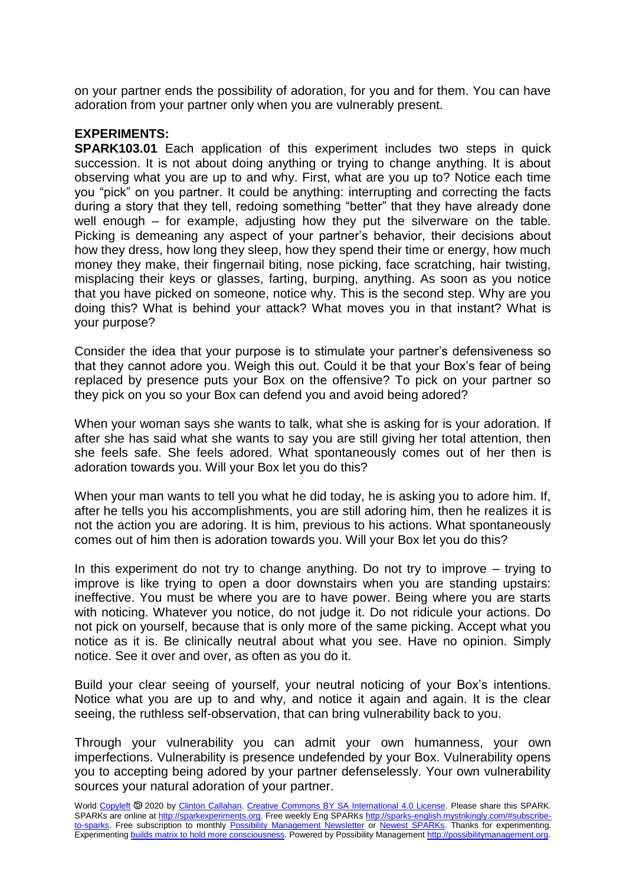on your partner ends the possibility of adoration, for you and for them. You can have adoration from your partner only when you are vulnerably present.

## **EXPERIMENTS:**

**SPARK103.01** Each application of this experiment includes two steps in quick succession. It is not about doing anything or trying to change anything. It is about observing what you are up to and why. First, what are you up to? Notice each time you "pick" on you partner. It could be anything: interrupting and correcting the facts during a story that they tell, redoing something "better" that they have already done well enough – for example, adjusting how they put the silverware on the table. Picking is demeaning any aspect of your partner's behavior, their decisions about how they dress, how long they sleep, how they spend their time or energy, how much money they make, their fingernail biting, nose picking, face scratching, hair twisting, misplacing their keys or glasses, farting, burping, anything. As soon as you notice that you have picked on someone, notice why. This is the second step. Why are you doing this? What is behind your attack? What moves you in that instant? What is your purpose?

Consider the idea that your purpose is to stimulate your partner's defensiveness so that they cannot adore you. Weigh this out. Could it be that your Box's fear of being replaced by presence puts your Box on the offensive? To pick on your partner so they pick on you so your Box can defend you and avoid being adored?

When your woman says she wants to talk, what she is asking for is your adoration. If after she has said what she wants to say you are still giving her total attention, then she feels safe. She feels adored. What spontaneously comes out of her then is adoration towards you. Will your Box let you do this?

When your man wants to tell you what he did today, he is asking you to adore him. If, after he tells you his accomplishments, you are still adoring him, then he realizes it is not the action you are adoring. It is him, previous to his actions. What spontaneously comes out of him then is adoration towards you. Will your Box let you do this?

In this experiment do not try to change anything. Do not try to improve  $-$  trying to improve is like trying to open a door downstairs when you are standing upstairs: ineffective. You must be where you are to have power. Being where you are starts with noticing. Whatever you notice, do not judge it. Do not ridicule your actions. Do not pick on yourself, because that is only more of the same picking. Accept what you notice as it is. Be clinically neutral about what you see. Have no opinion. Simply notice. See it over and over, as often as you do it.

Build your clear seeing of yourself, your neutral noticing of your Box's intentions. Notice what you are up to and why, and notice it again and again. It is the clear seeing, the ruthless self-observation, that can bring vulnerability back to you.

Through your vulnerability you can admit your own humanness, your own imperfections. Vulnerability is presence undefended by your Box. Vulnerability opens you to accepting being adored by your partner defenselessly. Your own vulnerability sources your natural adoration of your partner.